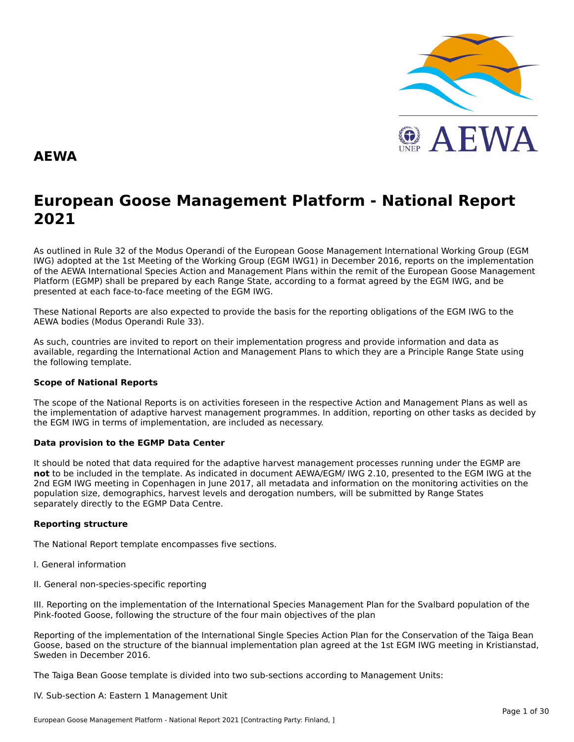

#### **AEWA**

# **European Goose Management Platform - National Report**European Goose Management Platform - National Report<br>2021

As outlined in Rule 32 of the Modus Operandi of the European Goose Management International Working Group (EGM As buthled in Rule 32 of the Modus Operandi of the Lufopean Goose Management International Working Group (LGM<br>IWG) adopted at the 1st Meeting of the Working Group (EGM IWG1) in December 2016, reports on the implementation of the AEWA International Species Action and Management Plans within the remit of the European Goose Management<br>of the AEWA International Species Action and Management Plans within the remit of the European Goose Managemen Platform (EGMP) shall be prepared by each Range State, according to a format agreed by the EGM IWG, and be presented at each face-to-face meeting of the EGM IWG.

These National Reports are also expected to provide the basis for the reporting obligations of the EGM IWG to the AEWA bodies (Modus Operandi Rule 33).

As such, countries are invited to report on their implementation progress and provide information and data asAs such, countries are invited to report on their implementation progress and provide imomiation and data as<br>available, regarding the International Action and Management Plans to which they are a Principle Range State usin the following template.

#### **Scope of National Reports**

The scope of the National Reports is on activities foreseen in the respective Action and Management Plans as well as<br>the invalence total of adoptive harvest management are respective and dition are atting on other today as the implementation of adaptive harvest management programmes. In addition, reporting on other tasks as decided by the EGM IWG in terms of implementation, are included as necessary.

#### **Data provision to the EGMP Data Center**

It should be noted that data required for the adaptive harvest management processes running under the EGMP are not to be included in the template. As indicated in document AEWA/EGM/ IWG 2.10, presented to the EGM IWG at the 2nd EGM IWG meeting in Copenhagen in June 2017, all metadata and information on the monitoring activities on the population size, demographics, harvest levels and derogation numbers, will be submitted by Range States separately directly to the EGMP Data Centre.

#### **Reporting structure**

The National Report template encompasses five sections.

- I. General information
- II. General non-species-specific reporting

III. Reporting on the implementation of the International Species Management Plan for the Svalbard population of the Pink-footed Goose, following the structure of the four main objectives of the plan

Reporting of the implementation of the International Single Species Action Plan for the Conservation of the Taiga Bean Goose, based on the structure of the biannual implementation plan agreed at the 1st EGM IWG meeting in Kristianstad, Sweden in December 2016.

The Taiga Bean Goose template is divided into two sub-sections according to Management Units:

IV. Sub-section A: Eastern 1 Management Unit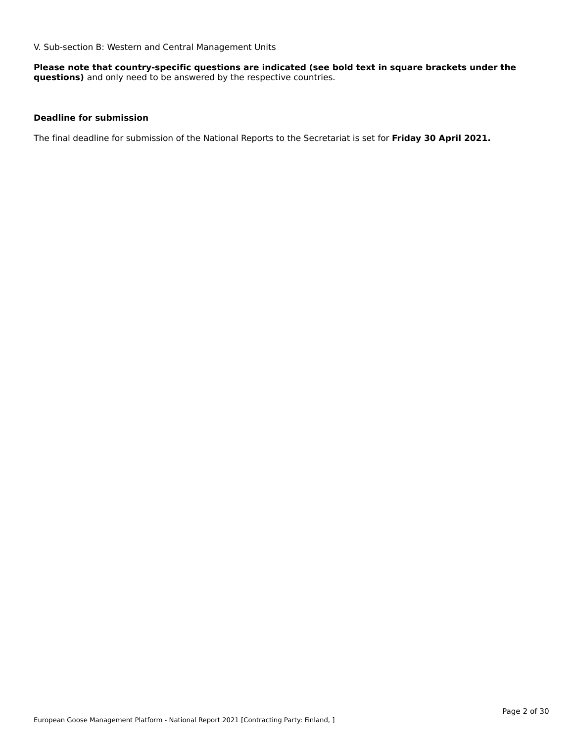V. Sub-section B: Western and Central Management Units

**Please note that country-specific questions are indicated (see bold text in square brackets under the questions)** and only need to be answered by the respective countries.

#### **Deadline for submission**

The final deadline for submission of the National Reports to the Secretariat is set for **Friday 30 April 2021.**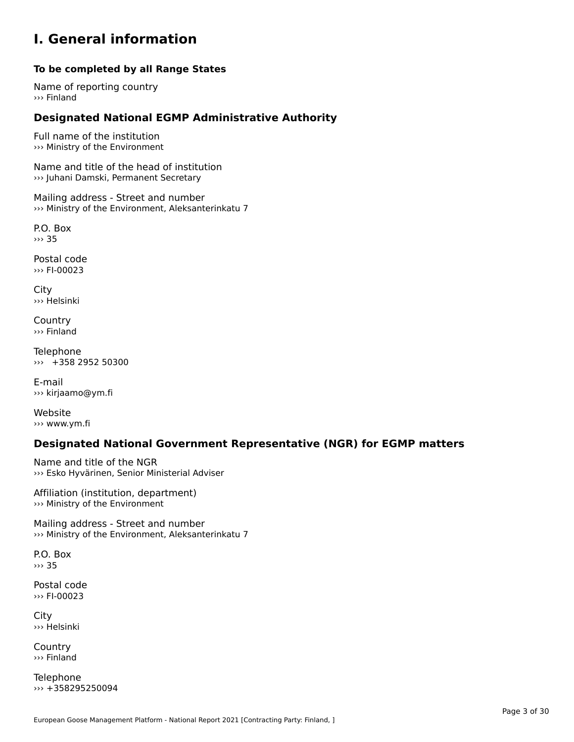#### **I. General information**

#### **To be completed by all Range States**

Name of reporting country››› Finland

# **Designated National EGMP Administrative Authority**

Full name of the institution ››› Ministry of the Environment

Name and title of the head of institution ››› Juhani Damski, Permanent Secretary

Mailing address - Street and number ››› Ministry of the Environment, Aleksanterinkatu 7

P.O. Box››› 35

Postal code ››› FI-00023

City ››› Helsinki

**Country** ››› Finland

Telephone ››› +358 2952 50300

E-mail››› kirjaamo@ym.fi

Website ››› www.ym.fi

# **Designated National Government Representative (NGR) for EGMP matters**

Name and title of the NGR ››› Esko Hyvärinen, Senior Ministerial Adviser

Affiliation (institution, department) ››› Ministry of the Environment

Mailing address - Street and number ››› Ministry of the Environment, Aleksanterinkatu 7

P.O. Box››› 35

Postal code ››› FI-00023

City ››› Helsinki

**Country** ››› Finland

Telephone ››› +358295250094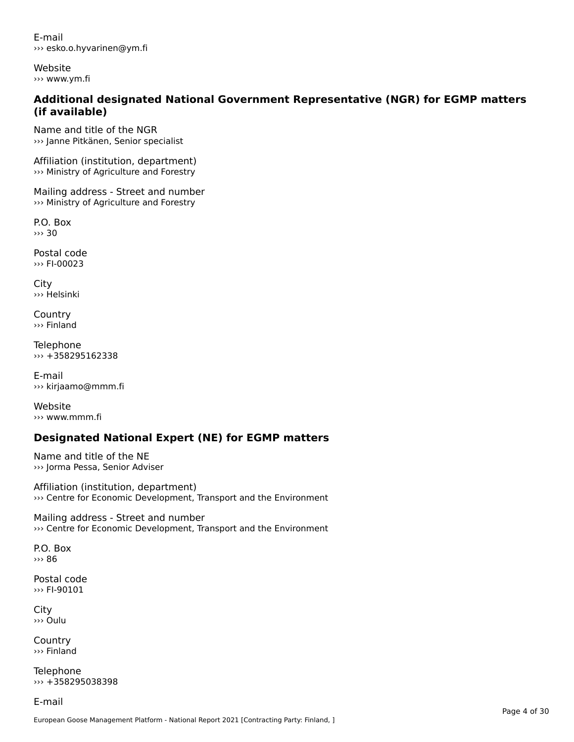E-mail››› esko.o.hyvarinen@ym.fi

Website››› www.ym.fi

# **Additional designated National Government Representative (NGR) for EGMP matters (if available)**

Name and title of the NGR ››› Janne Pitkänen, Senior specialist

Affiliation (institution, department) ››› Ministry of Agriculture and Forestry

Mailing address - Street and number ››› Ministry of Agriculture and Forestry

P.O. Box ››› 30

Postal code››› FI-00023

City ››› Helsinki

**Country** ››› Finland

Telephone ››› +358295162338

E-mail ››› kirjaamo@mmm.fi

Website››› www.mmm.fi

# **Designated National Expert (NE) for EGMP matters**

Name and title of the NE ››› Jorma Pessa, Senior Adviser

Affiliation (institution, department) ››› Centre for Economic Development, Transport and the Environment

Mailing address - Street and number ››› Centre for Economic Development, Transport and the Environment

P.O. Box››› 86

Postal code››› FI-90101

City ››› Oulu

Country››› Finland

Telephone ››› +358295038398

E-mail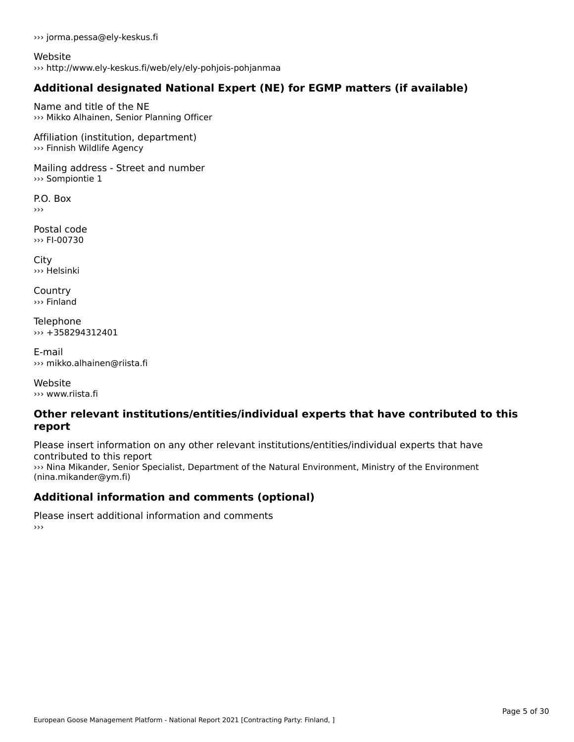››› jorma.pessa@ely-keskus.fi

Website››› http://www.ely-keskus.fi/web/ely/ely-pohjois-pohjanmaa

# **Additional designated National Expert (NE) for EGMP matters (if available)**

Name and title of the NE››› Mikko Alhainen, Senior Planning Officer

Affiliation (institution, department) ››› Finnish Wildlife Agency

Mailing address - Street and number ››› Sompiontie 1

P.O. Box ›››

Postal code››› FI-00730

City ››› Helsinki

**Country** ››› Finland

**Telephone** ››› +358294312401

E-mail››› mikko.alhainen@riista.fi

Website››› www.riista.fi

#### **Other relevant institutions/entities/individual experts that have contributed to this report**report

Please insert information on any other relevant institutions/entities/individual experts that have riease insert information<br>contributed to this report

contributed to this report<br>>>>> Nina Mikander, Senior Specialist, Department of the Natural Environment, Ministry of the Environment (nina.mikander@ym.fi)

# **Additional information and comments (optional)**

Please insert additional information and comments ›››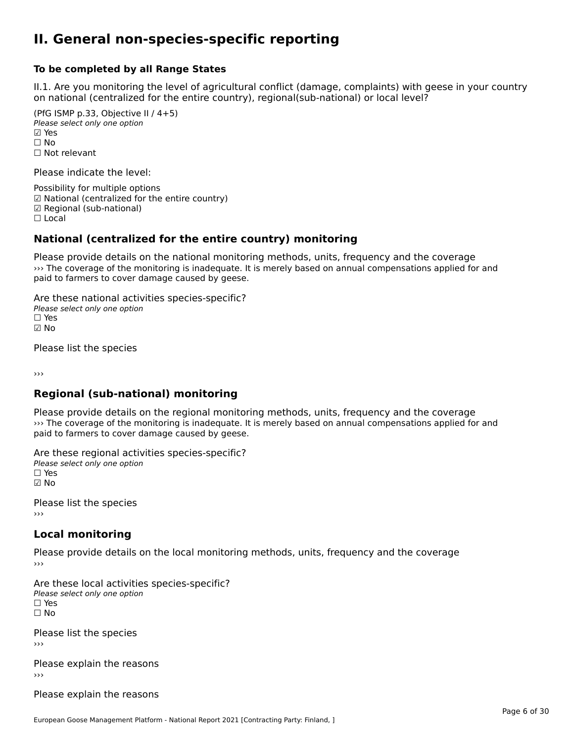#### **II. General non-species-specific reporting**

#### **To be completed by all Range States**

II.1. Are you monitoring the level of agricultural conflict (damage, complaints) with geese in your country n.i. Are you monitoring the lever or agricultural connict (damage, complaints) with g<br>on national (centralized for the entire country), regional(sub-national) or local level?

(PfG ISMP p.33, Objective II  $(4+5)$ ) Please select only one option ☑ Yes**☑ Yes**<br>□ No □ No<br>□ Not relevant

Please indicate the level:

Possibility for multiple options ™ USSIDING TO Multiple options<br>
□ National (centralized for the entire country) ☑ Regional (sub-national) ☐ Local

#### **National (centralized for the entire country) monitoring**

Please provide details on the national monitoring methods, units, frequency and the coverage ››› The coverage of the monitoring is inadequate. It is merely based on annual compensations applied for and where coverage or the monitoring is madequate. It<br>paid to farmers to cover damage caused by geese.

Are these national activities species-specific? ∩ne enese national activity<br>Please select only one option ☑ No

Please list the species

›››

#### **Regional (sub-national) monitoring**

Please provide details on the regional monitoring methods, units, frequency and the coverage I lease provide details on the regional momenting incerious, and s, requericy and the coverage<br>
So The coverage of the monitoring is inadequate. It is merely based on annual compensations applied for and paid to farmers to cover damage caused by geese.

Are these regional activities species-specific? ∩ne enese regional activ<br>Please select only one option ☑ No

Please list the species ›››

#### **Local monitoring**

Please provide details on the local monitoring methods, units, frequency and the coverage

Are these local activities species-specific? ∩ne these local detivities<br>Please select only one option □ Yes<br>□ No

Please list the species ›››

Please explain the reasons›››

Please explain the reasons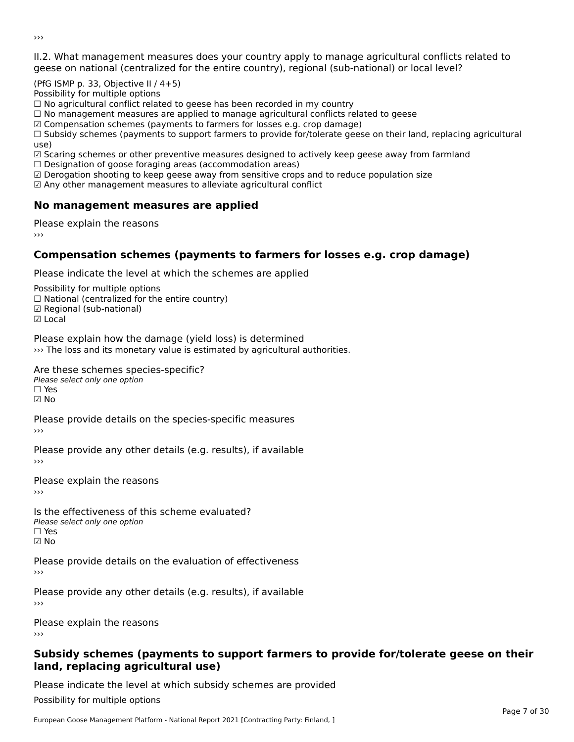II.2. What management measures does your country apply to manage agricultural conflicts related to

(PfG ISMP p. 33, Objective II / 4+5)

Possibility for multiple options

rossibility for multiple options<br>□ No agricultural conflict related to geese has been recorded in my country

 $\Box$  No management measures are applied to manage agricultural conflicts related to geese

☑ Compensation schemes (payments to farmers for losses e.g. crop damage)

© Compensation schemes (payments to familers for losses e.g. crop damage)<br>□ Subsidy schemes (payments to support farmers to provide for/tolerate geese on their land, replacing agricultural

use,<br>□ Scaring schemes or other preventive measures designed to actively keep geese away from farmland

 $\Box$  Designation of goose foraging areas (accommodation areas)

□ Designation of goose foraging areas (accommodation areas)<br>☑ Derogation shooting to keep geese away from sensitive crops and to reduce population size

 $\boxtimes$  Any other management measures to alleviate agricultural conflict

### **No management measures are applied**

Please explain the reasons ›››

### **Compensation schemes (payments to farmers for losses e.g. crop damage)**

Please indicate the level at which the schemes are applied

Possibility for multiple options rossibility for multiple options<br>□ National (centralized for the entire country) □ Regional (centranzed to<br>☑ Regional (sub-national)

☑ Local

Please explain how the damage (yield loss) is determined

››› The loss and its monetary value is estimated by agricultural authorities.

Are these schemes species-specific?

∩ne these senemes spee<br>Please select only one option ☑ No

Please provide details on the species-specific measures

Please provide any other details (e.g. results), if available

Please explain the reasons›››

Is the effectiveness of this scheme evaluated? □ CIC CILCCLIVENC55 OF C<br>Please select only one option  $\square$  Yes ☑ No

Please provide details on the evaluation of effectiveness

Please provide any other details (e.g. results), if available

Please explain the reasons

#### **Subsidy schemes (payments to support farmers to provide for/tolerate geese on their land, replacing agricultural use)**land, replacing agricultural use)

Please indicate the level at which subsidy schemes are provided

Possibility for multiple options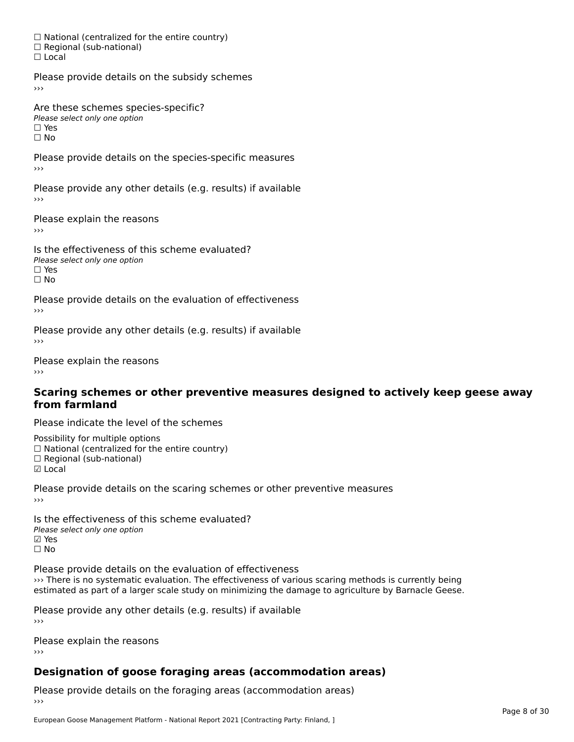☐ National (centralized for the entire country) □ National (centralized io<br>□ Regional (sub-national) ☐ Local

Please provide details on the subsidy schemes

Are these schemes species-specific?∩ne these senemes spee<br>Please select only one option □ Yes<br>□ No

Please provide details on the species-specific measures ›››

Please provide any other details (e.g. results) if available

Please explain the reasons

Is the effectiveness of this scheme evaluated?Please select only one option ☐ Yes☐ No

Please provide details on the evaluation of effectiveness

Please provide any other details (e.g. results) if available

Please explain the reasons

#### **Scaring schemes or other preventive measures designed to actively keep geese awayfrom farmland**

Please indicate the level of the schemes

Possibility for multiple options rossibility for multiple options<br>□ National (centralized for the entire country) ☐ Regional (sub-national) ☑ Local

**☑** Local

Please provide details on the scaring schemes or other preventive measures

Is the effectiveness of this scheme evaluated?□ CHECONCHESS OF C<br>Please select only one option **☑ Yes**<br>□ No

Please provide details on the evaluation of effectiveness ››› There is no systematic evaluation. The effectiveness of various scaring methods is currently being estimated as part of a larger scale study on minimizing the damage to agriculture by Barnacle Geese.

Please provide any other details (e.g. results) if available

Please explain the reasons

# **Designation of goose foraging areas (accommodation areas)**

Please provide details on the foraging areas (accommodation areas)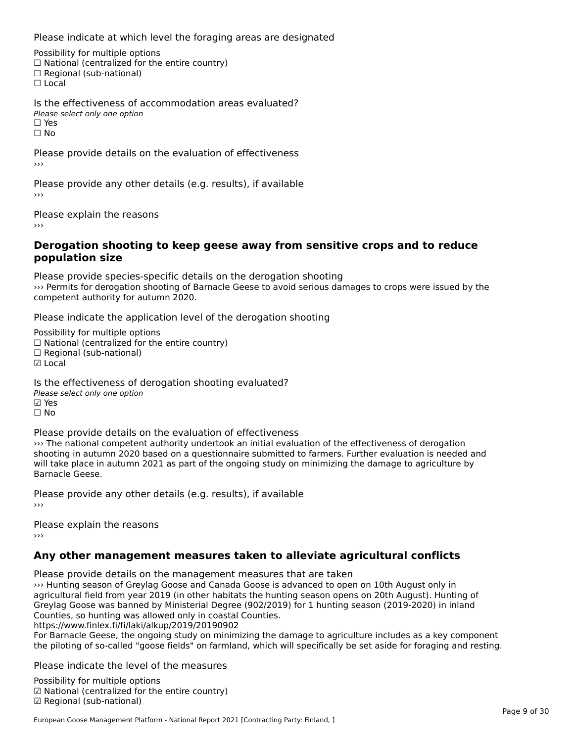Please indicate at which level the foraging areas are designated

Possibility for multiple options rossibility for multiple options<br>□ National (centralized for the entire country) □ Regional (sub-national)<br>□ Regional (sub-national)

Is the effectiveness of accommodation areas evaluated?Please select only one option ☐ Yes

ים וכ<br>⊡ No

Please provide details on the evaluation of effectiveness

Please provide any other details (e.g. results), if available

Please explain the reasons

#### **Derogation shooting to keep geese away from sensitive crops and to reduce population size**

Please provide species-specific details on the derogation shooting ››› Permits for derogation shooting of Barnacle Geese to avoid serious damages to crops were issued by the where the competent authority for autumn 2020.

Please indicate the application level of the derogation shooting

Possibility for multiple options rossibility for multiple options<br>□ National (centralized for the entire country) □ National (centralized io<br>□ Regional (sub-national) ☑ Local

Is the effectiveness of derogation shooting evaluated? Please select only one option riease<br>☑ Yes ☐ No

Please provide details on the evaluation of effectiveness

››› The national competent authority undertook an initial evaluation of the effectiveness of derogation shooting in autumn 2020 based on a questionnaire submitted to farmers. Further evaluation is needed and will take place in autumn 2021 as part of the ongoing study on minimizing the damage to agriculture by will take place in<br>Barnacle Geese.

Please provide any other details (e.g. results), if available

Please explain the reasons

### **Any other management measures taken to alleviate agricultural conflicts**

Please provide details on the management measures that are taken

››› Hunting season of Greylag Goose and Canada Goose is advanced to open on 10th August only in of training season of Greylag Goose and Canada Goose is advanced to open on form August only in<br>agricultural field from year 2019 (in other habitats the hunting season opens on 20th August). Hunting of Greylag Goose was banned by Ministerial Degree (902/2019) for 1 hunting season (2019-2020) in inland Greylag Goose was banned by Ministerial Degree (902/2019)<br>Counties, so hunting was allowed only in coastal Counties.

https://www.finlex.fi/fi/laki/alkup/2019/20190902

For Barnacle Geese, the ongoing study on minimizing the damage to agriculture includes as a key component for barnacle deese, the ongoing study on minimizing the darnage to agriculture includes as a key component<br>the piloting of so-called "goose fields" on farmland, which will specifically be set aside for foraging and resting

Please indicate the level of the measures

Possibility for multiple options гозывниу тог mattiple options<br>☑ National (centralized for the entire country) ☑ Regional (sub-national)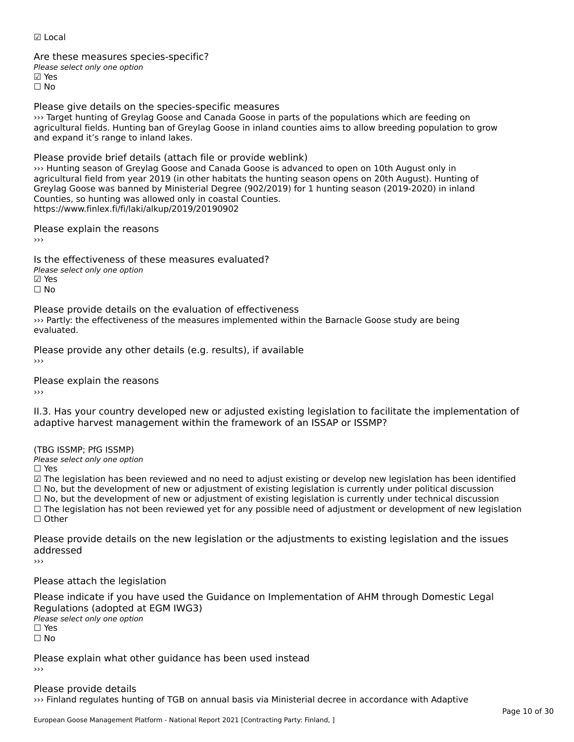☑ Local

Are these measures species-specific?∧ne these measures spe<br>Please select only one option ⊠ Yes ☐ No

Please give details on the species-specific measures

››› Target hunting of Greylag Goose and Canada Goose in parts of the populations which are feeding on A larget hunting of Greylag Goose and Canada Goose in parts of the populations which are reeding on<br>agricultural fields. Hunting ban of Greylag Goose in inland counties aims to allow breeding population to grow and expand it's range to inland lakes.

Please provide brief details (attach file or provide weblink)

››› Hunting season of Greylag Goose and Canada Goose is advanced to open on 10th August only in agricultural field from year 2019 (in other habitats the hunting season opens on 20th August). Hunting of agricultural field from year 2019 (in other habitats the hunting season opens on 20th August). Hunting o<br>Greylag Goose was banned by Ministerial Degree (902/2019) for 1 hunting season (2019-2020) in inland Greyiag Goose was banned by Ministerial Degree (902/2019)<br>Counties, so hunting was allowed only in coastal Counties. https://www.finlex.fi/fi/laki/alkup/2019/20190902

Please explain the reasons

Is the effectiveness of these measures evaluated? Please select only one option☑ Yes☐ No

Please provide details on the evaluation of effectiveness ››› Partly: the effectiveness of the measures implemented within the Barnacle Goose study are being evaluated.

Please provide any other details (e.g. results), if available

Please explain the reasons

II.3. Has your country developed new or adjusted existing legislation to facilitate the implementation of

(TBG ISSMP; PfG ISSMP)

Please select only one option ☐ Yes

☑ The legislation has been reviewed and no need to adjust existing or develop new legislation has been identified ⊠ The regislation has been reviewed and no need to adjust existing or develop new regislation has been ident<br>□ No, but the development of new or adjustment of existing legislation is currently under political discussion □ No, but the development of new or adjustment of existing legislation is currently under political discussion<br>□ No, but the development of new or adjustment of existing legislation is currently under technical discussion ☐ The legislation has not been reviewed yet for any possible need of adjustment or development of new legislation ☐ Other

Please provide details on the new legislation or the adjustments to existing legislation and the issues addressed

›››

Please attach the legislation

Please indicate if you have used the Guidance on Implementation of AHM through Domestic Legal Piease indicate if you have used the<br>Regulations (adopted at EGM IWG3) Please select only one option ☐ Yesים<br>⊡ No

Please explain what other guidance has been used instead ›››

Please provide details ››› Finland regulates hunting of TGB on annual basis via Ministerial decree in accordance with Adaptive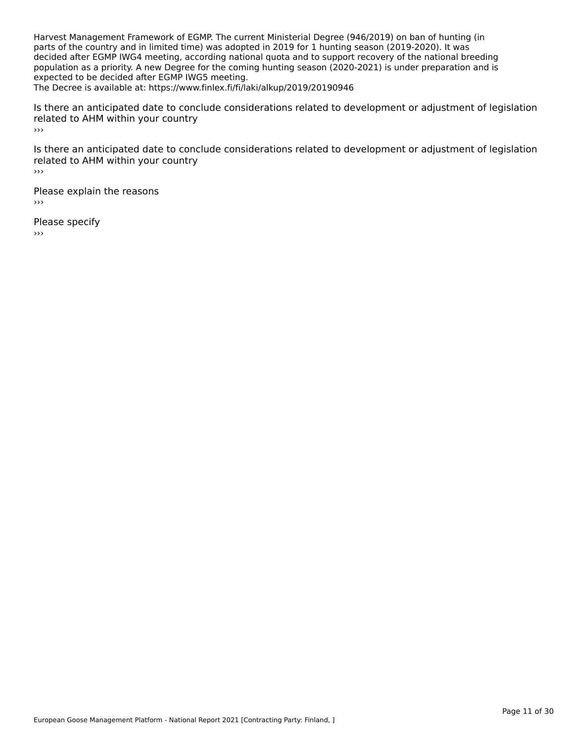Harvest Management Framework of EGMP. The current Ministerial Degree (946/2019) on ban of hunting (in parts of the country and in limited time) was adopted in 2019 for 1 hunting season (2019-2020). It was parts of the country and in immed time, was adopted in 2019 for 1 numing season (2019-2020). It was<br>decided after EGMP IWG4 meeting, according national quota and to support recovery of the national breeding population as a priority. A new Degree for the coming hunting season (2020-2021) is under preparation and is expected to be decided after EGMP IWG5 meeting. The Decree is available at: https://www.finlex.fi/fi/laki/alkup/2019/20190946

Is there an anticipated date to conclude considerations related to development or adjustment of legislation related to AHM within your country ›››

Is there an anticipated date to conclude considerations related to development or adjustment of legislation is there an anticipated date to cont<br>related to AHM within your country ›››

Please explain the reasons ›››

Please specify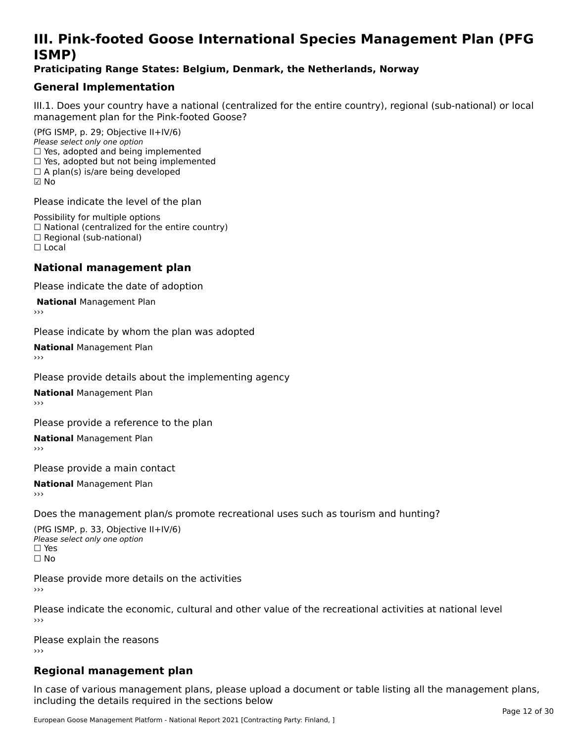# **III. Pink-footed Goose International Species Management Plan (PFG**III. FII<br>ICMAD)

### **Praticipating Range States: Belgium, Denmark, the Netherlands, Norway**

### **General Implementation**

III.1. Does your country have a national (centralized for the entire country), regional (sub-national) or local

(PfG ISMP, p. 29; Objective II+IV/6) Please select only one option *riease select only one option*<br>□ Yes, adopted and being implemented  $\Box$  res, adopted and being implemented<br> $\Box$  Yes, adopted but not being implemented  $\Box$  A plan(s) is/are being developed ☑ No

Please indicate the level of the plan

Possibility for multiple options rossibility for multiple options<br>□ National (centralized for the entire country) □ National (centralized io<br>□ Regional (sub-national) ☐ Local

#### **National management plan**

Please indicate the date of adoption

**National Management Plan** 

Please indicate by whom the plan was adopted

**National** Management Plan

Please provide details about the implementing agency

**National** Management Plan

Please provide a reference to the plan

**National** Management Plan

Please provide a main contact

**National** Management Plan

Does the management plan/s promote recreational uses such as tourism and hunting?

(PfG ISMP, p. 33, Objective II+IV/6) Please select only one optionPlease select only one option  $\square$  Yes ☐ No

Please provide more details on the activities

Please indicate the economic, cultural and other value of the recreational activities at national level

Please explain the reasons ›››

# **Regional management plan**

In case of various management plans, please upload a document or table listing all the management plans,in case or various management plans, please uploa<br>in the direct below the its required in the sections below including the details required in the sections below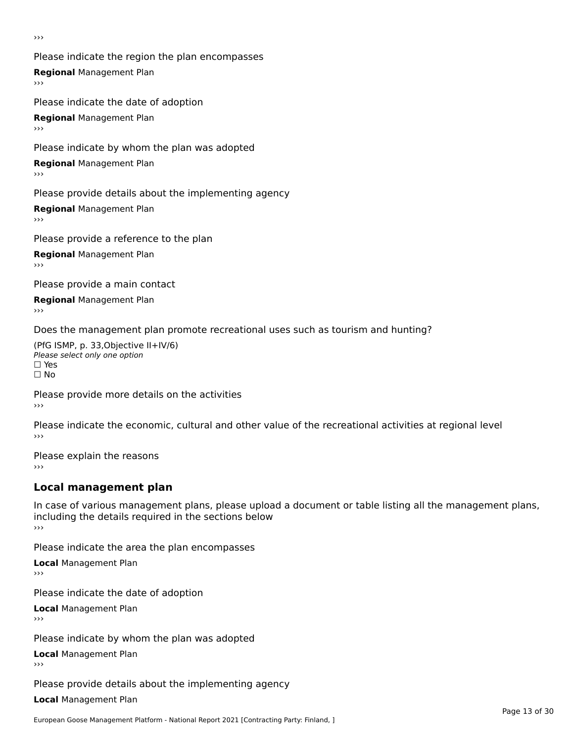›››

Please indicate the region the plan encompasses **Regional** Management Plan Please indicate the date of adoption

**Regional** Management Plan

Please indicate by whom the plan was adopted

**Regional** Management Plan

Please provide details about the implementing agency

**Regional** Management Plan

Please provide a reference to the plan

**Regional** Management Plan

Please provide a main contact

**Regional** Management Plan

Does the management plan promote recreational uses such as tourism and hunting?

(PfG ISMP, p. 33,Objective II+IV/6) ∩∩ וויוכו פון<br>Please select only one option<br>□ Yes □ Yes<br>□ No

Please provide more details on the activities ›››

Please indicate the economic, cultural and other value of the recreational activities at regional level

Please explain the reasons ›››

# **Local management plan**

In case of various management plans, please upload a document or table listing all the management plans, in case or various management plans, please uploa<br>including the details required in the sections below ›››

Please indicate the area the plan encompasses

**Local** Management Plan

Please indicate the date of adoption

**Local** Management Plan›››

Please indicate by whom the plan was adopted

**Local** Management Plan

Please provide details about the implementing agency

**Local** Management Plan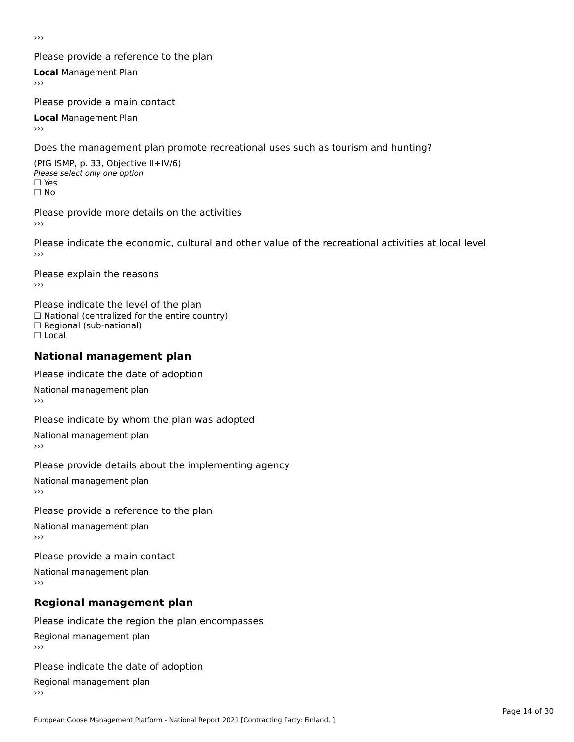›››

### Please provide a reference to the plan

**Local** Management Plan

Please provide a main contact

**Local** Management Plan

Does the management plan promote recreational uses such as tourism and hunting?

(PfG ISMP, p. 33, Objective II+IV/6) Please select only one option☐ Yes☐ No

Please provide more details on the activities

Please indicate the economic, cultural and other value of the recreational activities at local level

Please explain the reasons ›››

Please indicate the level of the plan ∩ease marcate the lever of the plan<br>□ National (centralized for the entire country) □ National (centralized io<br>□ Regional (sub-national) ☐ Local

#### **National management plan**

Please indicate the date of adoption

National management plan

Please indicate by whom the plan was adopted

National management plan

Please provide details about the implementing agency

National management plan

Please provide a reference to the plan

National management plan

Please provide a main contact

National management plan

# **Regional management plan**

Please indicate the region the plan encompasses Regional management plan

Please indicate the date of adoption

Regional management plan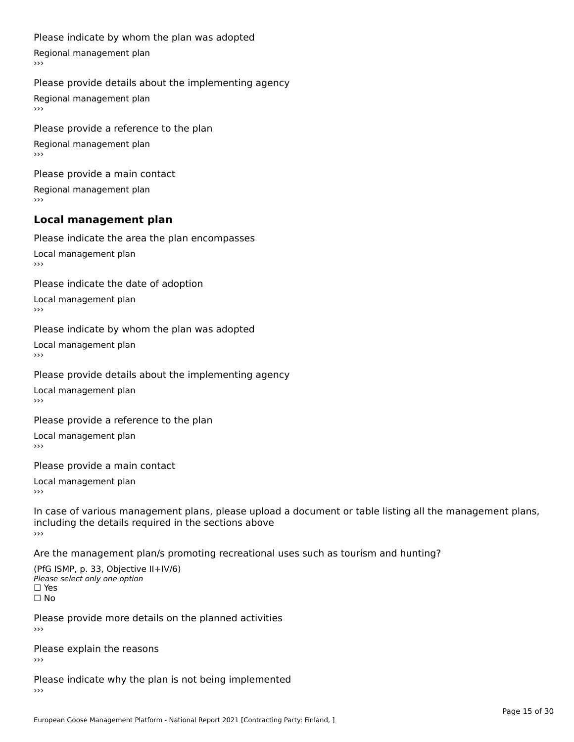#### Please indicate by whom the plan was adopted

Regional management plan

#### Please provide details about the implementing agency

Regional management plan

Please provide a reference to the plan Regional management plan

Please provide a main contact Regional management plan

# **Local management plan**

Please indicate the area the plan encompasses

Local management plan $\overline{\phantom{a}}$  $\rightarrow$   $>$ 

Please indicate the date of adoption

Local management plan $\overline{v}$ 

Please indicate by whom the plan was adopted Local management plan›››

Please provide details about the implementing agency

Local management plan $\overline{v}$ 

Please provide a reference to the plan

Local management plan›››

Please provide a main contact

Local management plan $\overline{v}$ 

In case of various management plans, please upload a document or table listing all the management plans,in case or various management plans, please upload including the details required in the sections above<br>>>>

Are the management plan/s promoting recreational uses such as tourism and hunting?

(PfG ISMP, p. 33, Objective II+IV/6) Please select only one option☐ Yes☐ No

Please provide more details on the planned activities

Please explain the reasons›››

Please indicate why the plan is not being implemented›››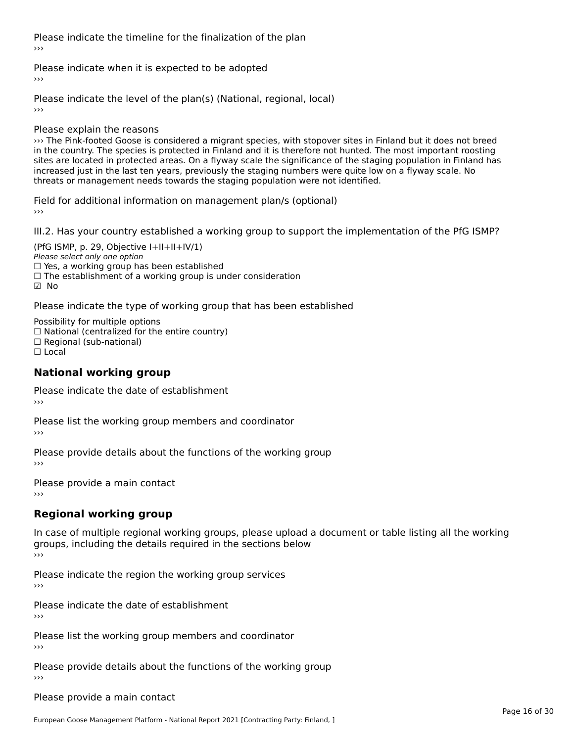Please indicate the timeline for the finalization of the plan›››

Please indicate when it is expected to be adopted

Please indicate the level of the plan(s) (National, regional, local)

Please explain the reasons

››› The Pink-footed Goose is considered a migrant species, with stopover sites in Finland but it does not breed In the country. The species is considered a migrant species, with stopover sites in rimand but it does not breed<br>In the country. The species is protected in Finland and it is therefore not hunted. The most important roosti nt the country. The species is protected in Finland and it is therefore not hunted. The most important roosting<br>sites are located in protected areas. On a flyway scale the significance of the staging population in Finland sites are located in protected areas. On a hyway scale the significance of the staging population in Fillial<br>increased just in the last ten years, previously the staging numbers were quite low on a flyway scale. No threats or management needs towards the staging population were not identified.

Field for additional information on management plan/s (optional)

III.2. Has your country established a working group to support the implementation of the PfG ISMP?

(PfG ISMP, p. 29, Objective  $I+II+II+IV/1$ ) Please select only one option  $\Box$  Yes, a working group has been established □ Tes, a working group has been established<br>□ The establishment of a working group is under consideration ☑ No

Please indicate the type of working group that has been established

Possibility for multiple options ™assibility for multiple options<br>□ National (centralized for the entire country) □ Regional (sub-national) ☐ Local

#### **National working group**

Please indicate the date of establishment›››

Please list the working group members and coordinator ›››

Please provide details about the functions of the working group ›››

Please provide a main contact ›››

# **Regional working group**

In case of multiple regional working groups, please upload a document or table listing all the working groups, including the details reguired in the sections below ›››

Please indicate the region the working group services ›››

Please indicate the date of establishment

›››

Please list the working group members and coordinator ›››

Please provide details about the functions of the working group ›››

Please provide a main contact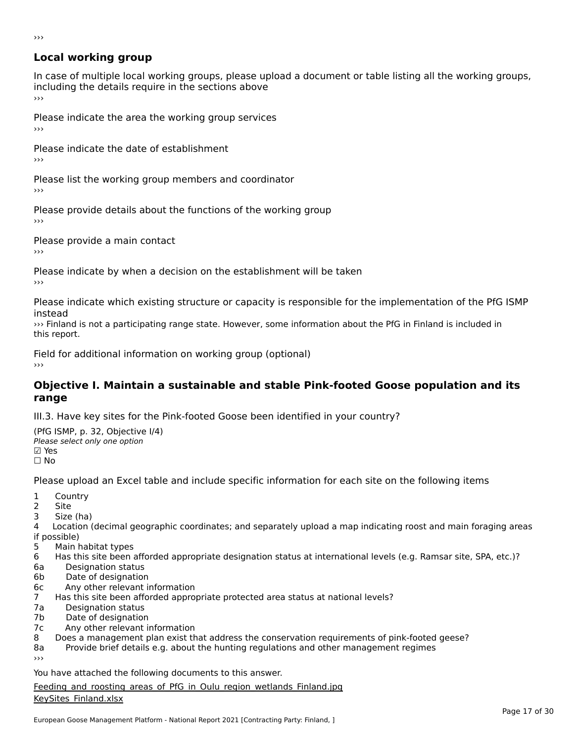# **Local working group**

In case of multiple local working groups, please upload a document or table listing all the working groups, including the details require in the sections above<br>>>>

Please indicate the area the working group services ›››

Please indicate the date of establishment ›››

Please list the working group members and coordinator ›››

Please provide details about the functions of the working group ›››

Please provide a main contact

›››

Please indicate by when a decision on the establishment will be taken

Please indicate which existing structure or capacity is responsible for the implementation of the PfG ISMP

113ccud<br>>>> Finland is not a participating range state. However, some information about the PfG in Finland is included in<br>this report.

Field for additional information on working group (optional)

# **Objective I. Maintain a sustainable and stable Pink-footed Goose population and its range**

III.3. Have key sites for the Pink-footed Goose been identified in your country?

(PfG ISMP, p. 32, Objective I/4) (110 15111 , p. 52, Objective<br>Please select only one option ⊠ Yes<br>□ No

Please upload an Excel table and include specific information for each site on the following items

- $1 \quad \alpha$
- 2 Site
- 2 Site<br>3 Size (ha)

د حدد una<br>4 Location (decimal geographic coordinates; and separately upload a map indicating roost and main foraging areas 4 Location<br>if possible)

- 5 Main habitat types
- 6 Has this site been afforded appropriate designation status at international levels (e.g. Ramsar site, SPA, etc.)? 6. Bestweetter status
- 
- 6a Designation status<br>6b Date of designation
- 6c Any other relevant information
- 7 Has this site been afforded appropriate protected area status at national levels? 7a Designation status
- 7a Designation status<br>7b Date of designation
- 
- 7c Any other relevant information
- 8 Does a management plan exist that address the conservation requirements of pink-footed geese?
- 8a Provide brief details e.g. about the hunting regulations and other management regimes 8a

You have attached the following documents to this answer.

Feeding and roosting areas of PfG in Oulu region wetlands Finland.jpg **EDEATILE COMPOSERING**<br>[KeySites\\_Finland.xlsx](http://aewa-ort.ort-production.linode.unep-wcmc.org/answers/2847172/documents/1782)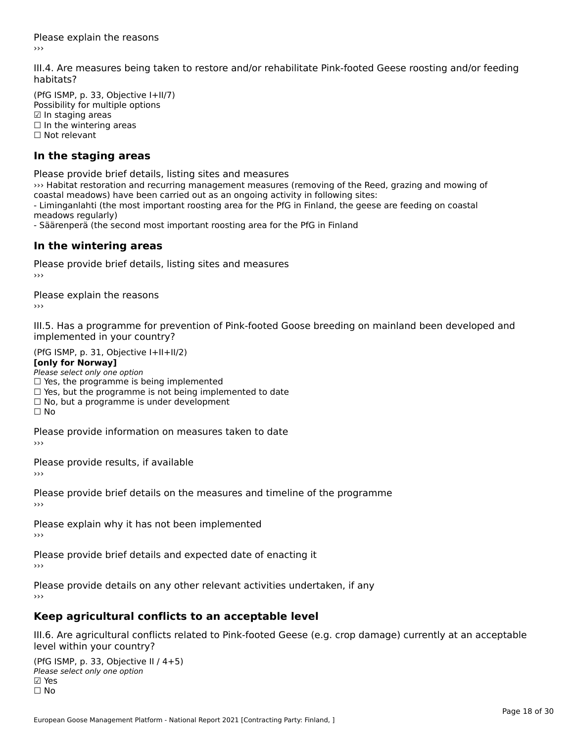Please explain the reasons›››

III.4. Are measures being taken to restore and/or rehabilitate Pink-footed Geese roosting and/or feeding

(PfG ISMP, p. 33, Objective I+II/7) Possibility for multiple options ☑ In staging areas $\boxtimes$  In staging areas ⊡ in stagnig areas<br>□ In the wintering areas □ in the winter

#### **In the staging areas**

Please provide brief details, listing sites and measures

››› Habitat restoration and recurring management measures (removing of the Reed, grazing and mowing of coastal meadows) have been carried out as an ongoing activity in following sites: - Liminganlahti (the most important roosting area for the PfG in Finland, the geese are feeding on coastal meadows regularly)

- Säärenperä (the second most important roosting area for the PfG in Finland

#### **In the wintering areas**

Please provide brief details, listing sites and measures ›››

Please explain the reasons

III.5. Has a programme for prevention of Pink-footed Goose breeding on mainland been developed and im.5. Tias a programme for pre<br>implemented in your country?

 $(PC I CMP, p. 31, Ok)$ **[only for Norway]**

#### [only for Norway]

**Lonny for Norway1**<br>Please select only one option riease select only one option<br>□ Yes, the programme is being implemented

 $\Box$  ies, the programme is being implemented to date  $\Box$  Yes, but the programme is not being implemented to date

 $\Box$  No, but a programme is under development

Please provide information on measures taken to date

Please provide results, if available

Please provide brief details on the measures and timeline of the programme›››

Please explain why it has not been implemented›››

Please provide brief details and expected date of enacting it

Please provide details on any other relevant activities undertaken, if any

# **Keep agricultural conflicts to an acceptable level**

III.6. Are agricultural conflicts related to Pink-footed Geese (e.g. crop damage) currently at an acceptable

(PfG ISMP, p. 33, Objective II / 4+5)Please select only one option ☑ Yes⊠ Yes<br>□ No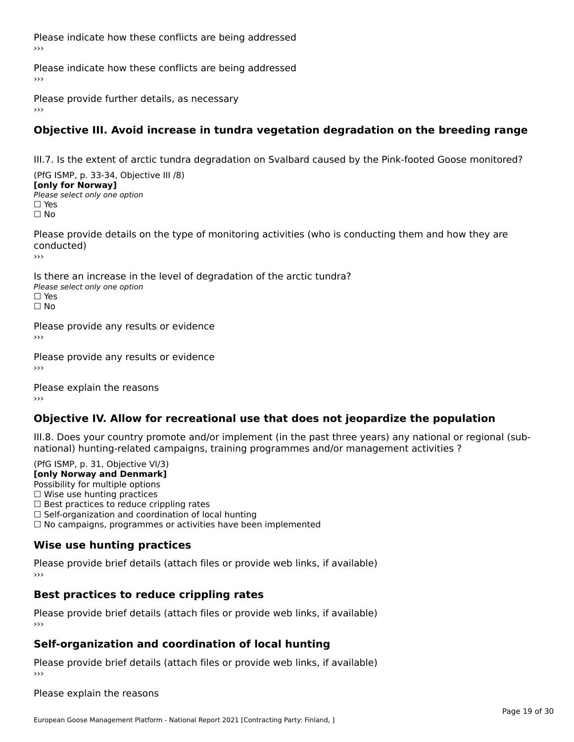Please indicate how these conflicts are being addressed›››

Please indicate how these conflicts are being addressed

Please provide further details, as necessary ›››

# **Objective III. Avoid increase in tundra vegetation degradation on the breeding range**

III.7. Is the extent of arctic tundra degradation on Svalbard caused by the Pink-footed Goose monitored?

(PfG ISMP, p. 33-34, Objective III /8) **[only for Norway] Please select only one option** □ Yes<br>□ No

Please provide details on the type of monitoring activities (who is conducting them and how they are conducted)

›››

Is there an increase in the level of degradation of the arctic tundra? Please select only one optionriease<br>□ Yes □ Yes<br>□ No

Please provide any results or evidence

Please provide any results or evidence

Please explain the reasons›››

### **Objective IV. Allow for recreational use that does not jeopardize the population**

III.8. Does your country promote and/or implement (in the past three years) any national or regional (subnno. Does your country promote and/or implement (in the past timee years) any national or<br>national) hunting-related campaigns, training programmes and/or management activities ?

 $(DEG | GMP = 31, Ob)$ ective  $V(12)$ **[only Norway and Denmark]**

 Possibility for multiple options Possibility for multiple options  $\Box$  Wise use hunting practices  $\Box$  wise use numing practices<br> $\Box$  Best practices to reduce crippling rates □ Best practices to reduce crippinig rates<br>□ Self-organization and coordination of local hunting

□ Sen-organization and coordination or local nunting<br>□ No campaigns, programmes or activities have been implemented

# **Wise use hunting practices**

Please provide brief details (attach files or provide web links, if available) ›››

# **Best practices to reduce crippling rates**

Please provide brief details (attach files or provide web links, if available)

# **Self-organization and coordination of local hunting**

Please provide brief details (attach files or provide web links, if available)

Please explain the reasons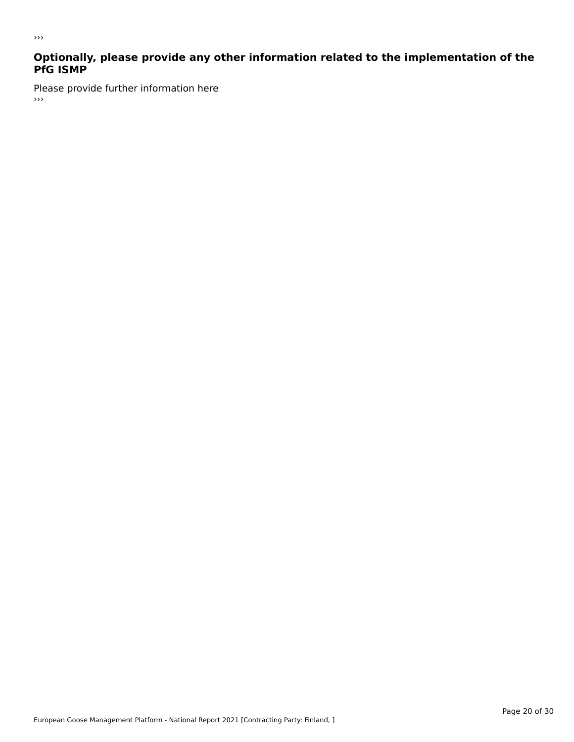# **Optionally, please provide any other information related to the implementation of the PfG ISMP**

Please provide further information here ، ا<br><<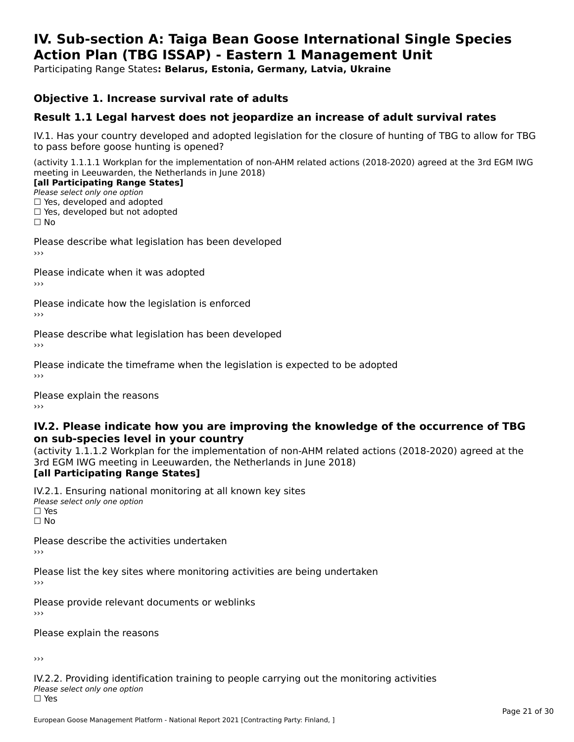#### **IV. Sub-section A: Taiga Bean Goose International Single Species Action Plan (TBG ISSAP) - Eastern 1 Management UnitAction Plan (TBG ISSAP) - Eastern 1 Management Unit**

Participating Range States**: Belarus, Estonia, Germany, Latvia, Ukraine** 

### **Objective 1. Increase survival rate of adults**

### **Result 1.1 Legal harvest does not jeopardize an increase of adult survival rates**

IV.1. Has your country developed and adopted legislation for the closure of hunting of TBG to allow for TBG IV.1. Thas your country developed and add<br>to pass before goose hunting is opened?

(activity 1.1.1.1 Workplan for the implementation of non-AHM related actions (2018-2020) agreed at the 3rd EGM IWG meeting in Leeuwarden, the Netherlands in June 2018)

#### [all Participating Range States]

Please select only one option ☐ Yes, developed and adopted

 ☐ Yes, developed but not adopted $\Box$  ies, developed but not adopted

Please describe what legislation has been developed

Please indicate when it was adopted

Please indicate how the legislation is enforced

Please describe what legislation has been developed

Please indicate the timeframe when the legislation is expected to be adopted

Please explain the reasons

#### **IV.2. Please indicate how you are improving the knowledge of the occurrence of TBGon sub-species level in your country**on sub-species level in your country

on sub-species fever in your country<br>(activity 1.1.1.2 Workplan for the implementation of non-AHM related actions (2018-2020) agreed at the **Brd EGM IWG meeting in Leeuwarden, the Netherlands in June 2018)** 

#### [all Participating Range States]

IV.2.1. Ensuring national monitoring at all known key sites <del>■ Western Chroning</del> Hational<br>Please select only one option □ Yes<br>□ No

Please describe the activities undertaken

Please list the key sites where monitoring activities are being undertaken

Please provide relevant documents or weblinks

Please explain the reasons

›››

IV.2.2. Providing identification training to people carrying out the monitoring activities Please select only one option<br>□ Yes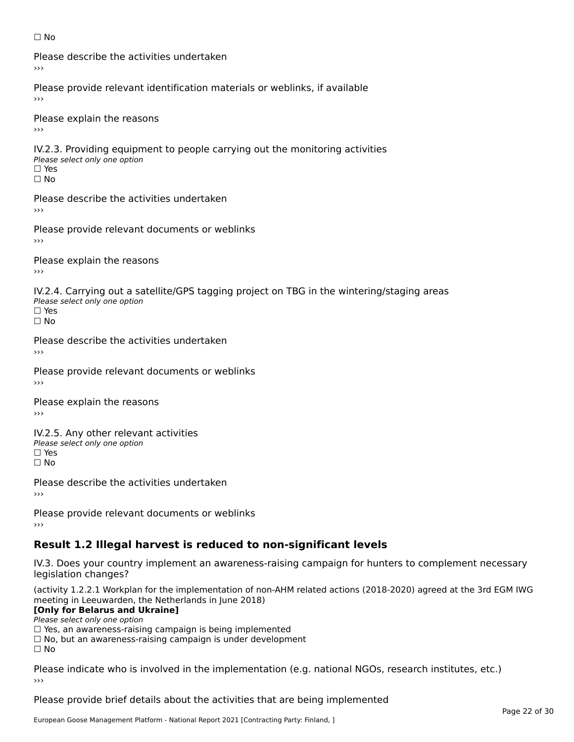#### ☐ No

Please describe the activities undertaken›››

Please provide relevant identification materials or weblinks, if available

Please explain the reasons

IV.2.3. Providing equipment to people carrying out the monitoring activities Please select only one option ☐ Yes□ Yes<br>□ No

Please describe the activities undertaken›››

Please provide relevant documents or weblinks

Please explain the reasons ›››

IV.2.4. Carrying out a satellite/GPS tagging project on TBG in the wintering/staging areas <del>∩</del><br>Please select only one option □ Yes<br>□ No

Please describe the activities undertaken›››

Please provide relevant documents or weblinks

Please explain the reasons

IV.2.5. Any other relevant activities Please select only one option ☐ Yes□ Yes<br>□ No

Please describe the activities undertaken›››

Please provide relevant documents or weblinks

# **Result 1.2 Illegal harvest is reduced to non-significant levels**

IV.3. Does your country implement an awareness-raising campaign for hunters to complement necessary rv.5. Does your court<br>legislation changes?

(activity 1.2.2.1 Workplan for the implementation of non-AHM related actions (2018-2020) agreed at the 3rd EGM IWG meeting in Leeuwarden, the Netherlands in June 2018)

#### **[Only for Belarus and Ukraine]**

Please select only one option

riease select only one option<br>□ Yes, an awareness-raising campaign is being implemented<br>□ Yes, an awareness-raising campaign is under development

□ No, but an awareness-raising campaign is under development<br>□ N。

 $\Box$  No

Please indicate who is involved in the implementation (e.g. national NGOs, research institutes, etc.)

Please provide brief details about the activities that are being implemented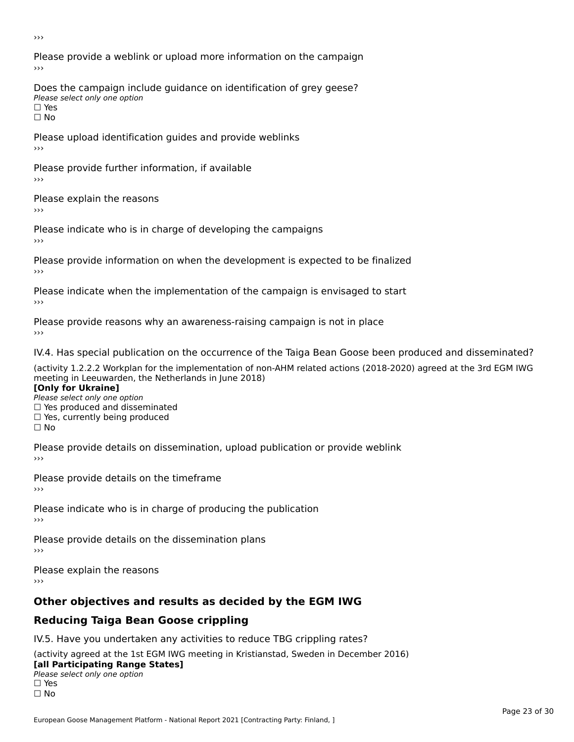›››

Please provide a weblink or upload more information on the campaign›››

Does the campaign include guidance on identification of grey geese? Please select only one option<br>□ Yes □ Yes<br>□ No

Please upload identification guides and provide weblinks ›››

Please provide further information, if available

Please explain the reasons

Please indicate who is in charge of developing the campaigns

Please provide information on when the development is expected to be finalized

Please indicate when the implementation of the campaign is envisaged to start

Please provide reasons why an awareness-raising campaign is not in place

IV.4. Has special publication on the occurrence of the Taiga Bean Goose been produced and disseminated?

(activity 1.2.2.2 Workplan for the implementation of non-AHM related actions (2018-2020) agreed at the 3rd EGM IWG **[Only for Ukraine]**

**□ Yes produced and disseminated**<br>Please select only one option  $\Box$  ies produced and disseminated  $\Box$  ies, currently being produced

Please provide details on dissemination, upload publication or provide weblink

Please provide details on the timeframe

Please indicate who is in charge of producing the publication

Please provide details on the dissemination plans

Please explain the reasons

›››

# **Other objectives and results as decided by the EGM IWG**

# **Reducing Taiga Bean Goose crippling**

IV.5. Have you undertaken any activities to reduce TBG crippling rates?

(activity agreed at the 1st EGM IWG meeting in Kristianstad, Sweden in December 2016) **[all Participating Range States]**

#### [all Participating Range States] **Law Tarticipating Range**<br>Please select only one option

□ Yes<br>□ No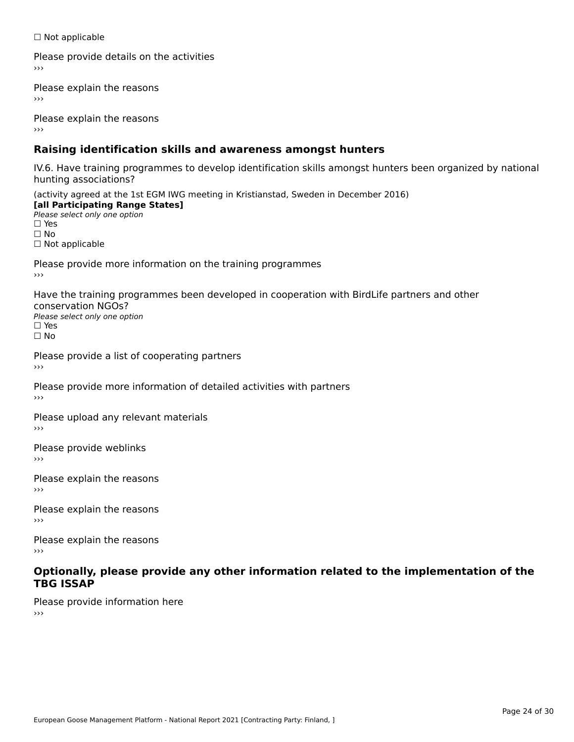☐ Not applicable

Please provide details on the activities

Please explain the reasons

Please explain the reasons

# **Raising identification skills and awareness amongst hunters**

IV.6. Have training programmes to develop identification skills amongst hunters been organized by national hunting associations?

(activity agreed at the 1st EGM IWG meeting in Kristianstad, Sweden in December 2016) **[all Participating Range States]**[all Participating Range States] **Lan Tarticipating Range**<br>Please select only one option ☐ Yes☐ No□ Not applicable

Please provide more information on the training programmes

Have the training programmes been developed in cooperation with BirdLife partners and other conservation NGOs?Please select only one option☐ Yes☐ No

Please provide a list of cooperating partners

Please provide more information of detailed activities with partners

Please upload any relevant materials

Please provide weblinks

Please explain the reasons

Please explain the reasons›››

Please explain the reasons

#### **Optionally, please provide any other information related to the implementation of the TBG ISSAP**

Please provide information here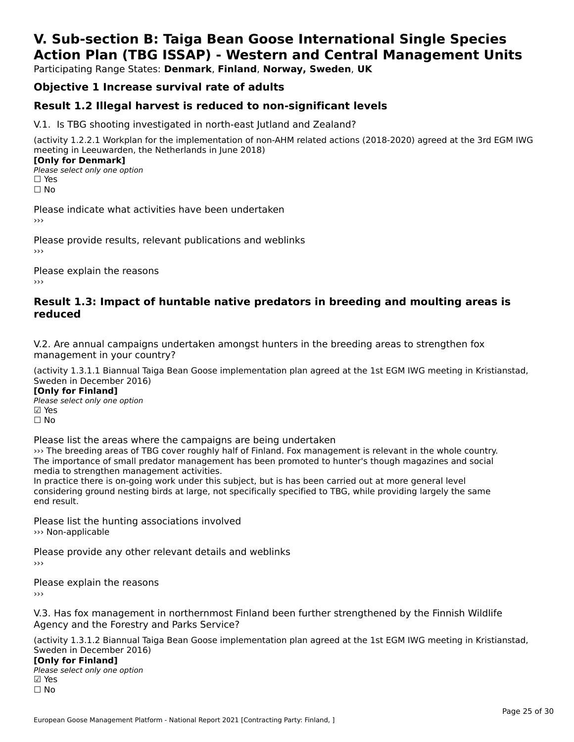# **V. Sub-section B: Taiga Bean Goose International Single SpeciesAction Plan (TBG ISSAP) - Western and Central Management Units**

Participating Range States: **Denmark**, **Finland**, **Norway, Sweden**, **UK**

### **Objective 1 Increase survival rate of adults**

### **Result 1.2 Illegal harvest is reduced to non-significant levels**

V.1. Is TBG shooting investigated in north-east Jutland and Zealand?

(activity 1.2.2.1 Workplan for the implementation of non-AHM related actions (2018-2020) agreed at the 3rd EGM IWG meeting in Leeuwarden, the Netherlands in June 2018) **[Only for Denmark]** 

**LOTTLY TOT DETITIONS**<br>Please select only one option *riease*<br>□ Yes<br>□ No

Please indicate what activities have been undertaken›››

Please provide results, relevant publications and weblinks ›››

Please explain the reasons

#### **Result 1.3: Impact of huntable native predators in breeding and moulting areas is reduced**

V.2. Are annual campaigns undertaken amongst hunters in the breeding areas to strengthen fox v.z. Are annual campaigns und<br>management in your country?

(activity 1.3.1.1 Biannual Taiga Bean Goose implementation plan agreed at the 1st EGM IWG meeting in Kristianstad, Sweden in December 2016)

**[Only for Finland]** Please select only one optionriease<br>□ Yes ⊠ Yes<br>□ No

Please list the areas where the campaigns are being undertaken

››› The breeding areas of TBG cover roughly half of Finland. Fox management is relevant in the whole country.of the breeding areas of this cover roughly half of finiand. Fox management is relevant in the whole country<br>The importance of small predator management has been promoted to hunter's though magazines and social me importance or sman predator management<br>media to strengthen management activities.

Ineula to strengthen management activities.<br>In practice there is on-going work under this subject, but is has been carried out at more general level In practice there is on-going work under this subject, but is has been carried out at more general lever<br>considering ground nesting birds at large, not specifically specified to TBG, while providing largely the same

Please list the hunting associations involved ››› Non-applicable

Please provide any other relevant details and weblinks ›››

Please explain the reasons

V.3. Has fox management in northernmost Finland been further strengthened by the Finnish Wildlife Agency and the Forestry and Parks Service?Agency and the Forestry and Parks Service?

(activity 1.3.1.2 Biannual Taiga Bean Goose implementation plan agreed at the 1st EGM IWG meeting in Kristianstad, Sweden in December 2016) **[Only for Finland]**

**□ 1990 Different Company**<br>Please select only one option ☐ No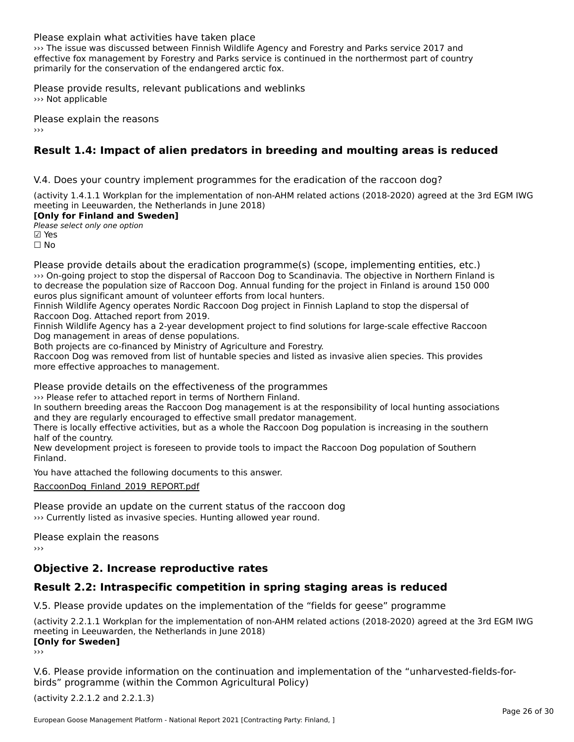Please explain what activities have taken place

››› The issue was discussed between Finnish Wildlife Agency and Forestry and Parks service 2017 and while issue was discussed between infinition wildlife Agency and Forestry and Farks service 2017 and<br>effective fox management by Forestry and Parks service is continued in the northermost part of country enective fox management by Forestry and Farks service is  $\alpha$ <br>primarily for the conservation of the endangered arctic fox.

Please provide results, relevant publications and weblinks ››› Not applicable

Please explain the reasons

# **Result 1.4: Impact of alien predators in breeding and moulting areas is reduced**

V.4. Does your country implement programmes for the eradication of the raccoon dog?

(activity 1.4.1.1 Workplan for the implementation of non-AHM related actions (2018-2020) agreed at the 3rd EGM IWG meeting in Leeuwarden, the Netherlands in June 2018)

#### **[Only for Finland and Sweden]**

**Please select only one option** 

**☑ Yes**<br>□ No

Please provide details about the eradication programme(s) (scope, implementing entities, etc.) ››› On-going project to stop the dispersal of Raccoon Dog to Scandinavia. The objective in Northern Finland is to decrease the population size of Raccoon Dog. Annual funding for the project in Finland is around 150 000 to decrease the population size of Naccoon Dog. Annual funding for the correct population of the entries and t<br>euros plus significant amount of volunteer efforts from local hunters.

Finnish Wildlife Agency operates Nordic Raccoon Dog project in Finnish Lapland to stop the dispersal of Raccoon Dog. Attached report from 2019.

Naccoon Dog. Attached report noni 2013.<br>Finnish Wildlife Agency has a 2-year development project to find solutions for large-scale effective Raccoon

Both projects are co-financed by Ministry of Agriculture and Forestry.

Both projects are co-imanced by ministry or Agriculture and Forestry.<br>Raccoon Dog was removed from list of huntable species and listed as invasive alien species. This provides more effective approaches to management.

Please provide details on the effectiveness of the programmes

››› Please refer to attached report in terms of Northern Finland.

In southern breeding areas the Raccoon Dog management is at the responsibility of local hunting associations<br>In southern breeding areas the Raccoon Dog management is at the responsibility of local hunting associations and they are regularly encouraged to effective small predator management.

and they are regularly encouraged to effective sinall predator management.<br>There is locally effective activities, but as a whole the Raccoon Dog population is increasing in the southern mere is locally ene

nan or the country.<br>New development project is foreseen to provide tools to impact the Raccoon Dog population of Southern<br>Finland

You have attached the following documents to this answer.

[RaccoonDog\\_Finland\\_2019\\_REPORT.pdf](http://aewa-ort.ort-production.linode.unep-wcmc.org/answers/2848058/documents/1990)

Please provide an update on the current status of the raccoon dog ››› Currently listed as invasive species. Hunting allowed year round.

Please explain the reasons

# **Objective 2. Increase reproductive rates**

### **Result 2.2: Intraspecific competition in spring staging areas is reduced**

V.5. Please provide updates on the implementation of the "fields for geese" programme

(activity 2.2.1.1 Workplan for the implementation of non-AHM related actions (2018-2020) agreed at the 3rd EGM IWG **CONCOCO EXTERNATE**<br> **CONCOCO EXTERNATE:** 

V.6. Please provide information on the continuation and implementation of the "unharvested-fields-forbirds" programme (within the Common Agricultural Policy)

(activity 2.2.1.2 and 2.2.1.3)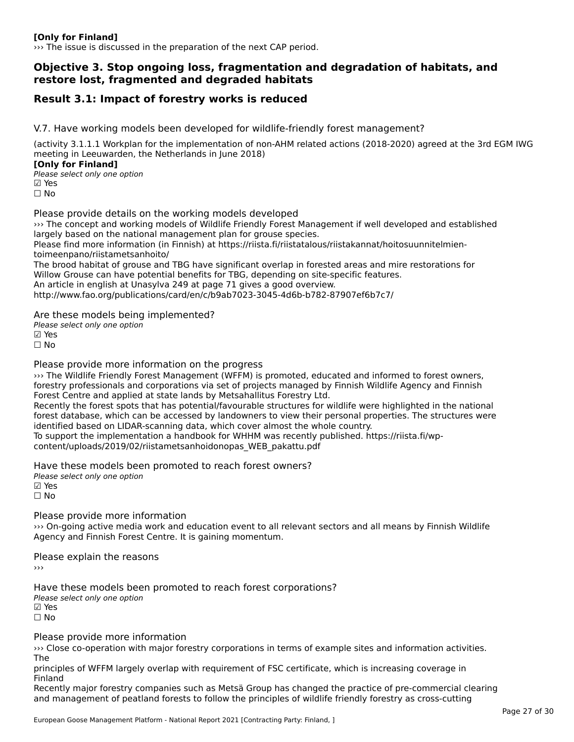#### **[Only for Finland]**

››› The issue is discussed in the preparation of the next CAP period.

#### **Objective 3. Stop ongoing loss, fragmentation and degradation of habitats, and restore lost, fragmented and degraded habitats**

## **Result 3.1: Impact of forestry works is reduced**

V.7. Have working models been developed for wildlife-friendly forest management?

(activity 3.1.1.1 Workplan for the implementation of non-AHM related actions (2018-2020) agreed at the 3rd EGM IWG meeting in Leeuwarden, the Netherlands in June 2018)

**[Only for Finland]**

Please select only one option☑ Yes☐ No

Please provide details on the working models developed

››› The concept and working models of Wildlife Friendly Forest Management if well developed and established while concept and working models of whalle mendiy rolest management plan for grouse species. Please find more information (in Finnish) at https://riista.fi/riistatalous/riistakannat/hoitosuunnitelmien-

toimeen muutti toimeen panoittametsaan kuningan kuningan kuningan kuningan kuningan kuningan kuningan kuningan<br>Kuningan kuningan kuningan kuningan kuningan kuningan kuningan kuningan kuningan kuningan kuningan kuningan ku toimeenpano/riistametsanhoito/<br>The brood habitat of grouse and TBG have significant overlap in forested areas and mire restorations for

The brood habitat or grouse and TBG have significant overlap in forested areas and mini-<br>Willow Grouse can have potential benefits for TBG, depending on site-specific features.

An article in english at Unasylva 249 at page 71 gives a good overview.

http://www.fao.org/publications/card/en/c/b9ab7023-3045-4d6b-b782-87907ef6b7c7/

Are these models being implemented?

∧ne these models being<br>Please select only one option ☐ No

Please provide more information on the progress

››› The Wildlife Friendly Forest Management (WFFM) is promoted, educated and informed to forest owners, forestry professionals and corporations via set of projects managed by Finnish Wildlife Agency and Finnish forestry professionals and corporations via set of projects managed by Finnish Wildlife Agency and Finnish forest y professionals and corporations via set or projects managed by<br>Forest Centre and applied at state lands by Metsahallitus Forestry Ltd. rorest centre and applied at state lands by Metsanaliitus Forestry Etd.<br>Recently the forest spots that has potential/favourable structures for wildlife were highlighted in the national Recentry the forest spots that has potential/lavourable structures for whallie were highlighted in the hational<br>forest database, which can be accessed by landowners to view their personal properties. The structures were identified based on LIDAR-scanning data, which cover almost the whole country.

To support the implementation a handbook for WHHM was recently published. https://riista.fi/wpcontent/uploads/2019/02/riistametsanhoidonopas\_WEB\_pakattu.pdf

Have these models been promoted to reach forest owners? Please select only one option ☑ Yes

☐ No

Please provide more information

››› On-going active media work and education event to all relevant sectors and all means by Finnish Wildlife **An On-going active media work and education event to an i**<br>Agency and Finnish Forest Centre. It is gaining momentum.

Please explain the reasons ›››

Have these models been promoted to reach forest corporations? ∩ave these models bee<br>Please select only one option **☑ Yes**<br>Π No

Please provide more information

››› Close co-operation with major forestry corporations in terms of example sites and information activities. The

principles of WFFM largely overlap with requirement of FSC certificate, which is increasing coverage in Finland

rmianu<br>Recently major forestry companies such as Metsä Group has changed the practice of pre-commercial clearing and management of peatland forests to follow the principles of wildlife friendly forestry as cross-cutting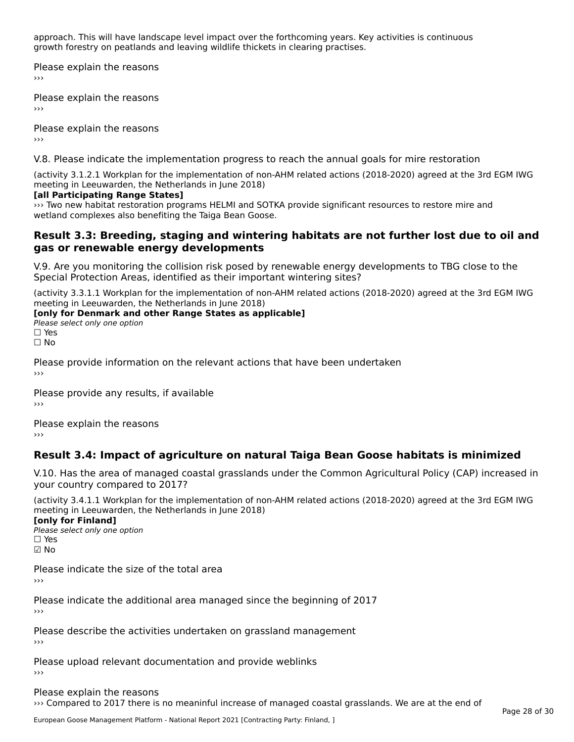approach. This will have landscape level impact over the forthcoming years. Key activities is continuous approach. This will have landscape lever impact over the forthcoming years. Re<br>growth forestry on peatlands and leaving wildlife thickets in clearing practises.

Please explain the reasons ›››

Please explain the reasons

Please explain the reasons

V.8. Please indicate the implementation progress to reach the annual goals for mire restoration

(activity 3.1.2.1 Workplan for the implementation of non-AHM related actions (2018-2020) agreed at the 3rd EGM IWG

#### **[all Participating Range States]**

››› Two new habitat restoration programs HELMI and SOTKA provide significant resources to restore mire and wetland complexes also benefiting the Taiga Bean Goose.

#### **Result 3.3: Breeding, staging and wintering habitats are not further lost due to oil and gas or renewable energy developments**gas or renewable energy developments

V.9. Are you monitoring the collision risk posed by renewable energy developments to TBG close to the Special Protection Areas, identified as their important wintering sites?

(activity 3.3.1.1 Workplan for the implementation of non-AHM related actions (2018-2020) agreed at the 3rd EGM IWG

# **The Eurig III Leeuwarden, the Netherlands III julie 2016**

Please select only one option<br>□ Yes □ Yes<br>□ No

Please provide information on the relevant actions that have been undertaken ›››

Please provide any results, if available

Please explain the reasons

# **Result 3.4: Impact of agriculture on natural Taiga Bean Goose habitats is minimized**

V.10. Has the area of managed coastal grasslands under the Common Agricultural Policy (CAP) increased in

(activity 3.4.1.1 Workplan for the implementation of non-AHM related actions (2018-2020) agreed at the 3rd EGM IWG meeting in Leeuwarden, the Netherlands in June 2018) **[only for Finland]**

[only for Finland] Please select only one option☐ Yes☑ No

Please indicate the size of the total area

›››

Please indicate the additional area managed since the beginning of 2017

Please describe the activities undertaken on grassland management

Please upload relevant documentation and provide weblinks

Please explain the reasons››› Compared to 2017 there is no meaninful increase of managed coastal grasslands. We are at the end of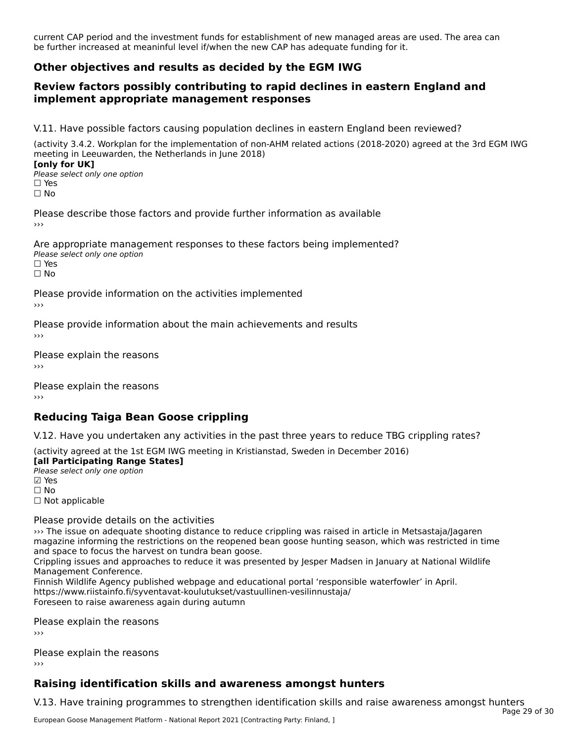current CAP period and the investment funds for establishment of new managed areas are used. The area can carrent CAP period and the investment funds for establishment of new managed areas a<br>be further increased at meaninful level if/when the new CAP has adequate funding for it.

### **Other objectives and results as decided by the EGM IWG**

#### **Review factors possibly contributing to rapid declines in eastern England and implement appropriate management responses**implement appropriate management responses

V.11. Have possible factors causing population declines in eastern England been reviewed?

(activity 3.4.2. Workplan for the implementation of non-AHM related actions (2018-2020) agreed at the 3rd EGM IWG meeting in Leeuwarden, the Netherlands in June 2018) **[only for UK]**

Please select only one option☐ Yes☐ No

Please describe those factors and provide further information as available›››

Are appropriate management responses to these factors being implemented? ne appropriace manage.<br>Please select only one option □ Yes<br>□ No

Please provide information on the activities implemented

Please provide information about the main achievements and results

Please explain the reasons

Please explain the reasons

# **Reducing Taiga Bean Goose crippling**

V.12. Have you undertaken any activities in the past three years to reduce TBG crippling rates?

(activity agreed at the 1st EGM IWG meeting in Kristianstad, Sweden in December 2016)

**[all Participating Range States]**

**Fair + articipating Range**<br>Please select only one option ⊠ Yes<br>□ No □ Not applicable

#### Please provide details on the activities

when the issue on adequate shooting distance to reduce crippling was raised in article in Metsastaja/Jagaren<br>Magazine issue on adequate shooting distance to reduce crippling was raised in article in Metsastaja/Jagaren magazine informing the restrictions on the reopened bean goose hunting season, which was restricted in time magazine imominity the restrictions on the reoperied L<br>and space to focus the harvest on tundra bean goose.

and space to locus the harvest on tunura bean goose.<br>Crippling issues and approaches to reduce it was presented by Jesper Madsen in January at National Wildlife Management Conference.

management comerence.<br>Finnish Wildlife Agency published webpage and educational portal 'responsible waterfowler' in April.<br>https://www.riistafagency.com/www.riistate.html https://www.riistainfo.fi/syventavat-koulutukset/vastuullinen-vesilinnustaja/ Foreseen to raise awareness again during autumn

Please explain the reasons›››

Please explain the reasons

# **Raising identification skills and awareness amongst hunters**

V.13. Have training programmes to strengthen identification skills and raise awareness amongst hunters